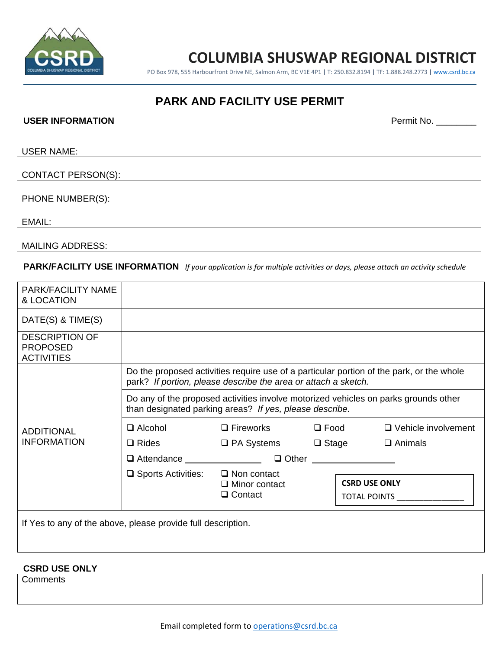

# **COLUMBIA SHUSWAP REGIONAL DISTRICT**

PO Box 978, 555 Harbourfront Drive NE, Salmon Arm, BC V1E 4P1 **|** T: 250.832.8194 **|** TF: 1.888.248.2773 **|** www.csrd.bc.ca

# **PARK AND FACILITY USE PERMIT**

#### USER INFORMATION **DERIVAL AND SERVICE SERVICE SERVICE SERVICE SERVICE SERVICE SERVICE SERVICE SERVICE SERVICE SERVICE SERVICE SERVICE SERVICE SERVICE SERVICE SERVICE SERVICE SERVICE SERVICE SERVICE SERVICE SERVICE SERVICE**

USER NAME:

### CONTACT PERSON(S):

#### PHONE NUMBER(S):

EMAIL:

MAILING ADDRESS:

### PARK/FACILITY USE INFORMATION If your application is for multiple activities or days, please attach an activity schedule

| PARK/FACILITY NAME<br>& LOCATION                              |                                                                                                                                                            |                                        |                                             |                            |
|---------------------------------------------------------------|------------------------------------------------------------------------------------------------------------------------------------------------------------|----------------------------------------|---------------------------------------------|----------------------------|
| DATE(S) & TIME(S)                                             |                                                                                                                                                            |                                        |                                             |                            |
| <b>DESCRIPTION OF</b><br><b>PROPOSED</b><br><b>ACTIVITIES</b> |                                                                                                                                                            |                                        |                                             |                            |
| <b>ADDITIONAL</b><br><b>INFORMATION</b>                       | Do the proposed activities require use of a particular portion of the park, or the whole<br>park? If portion, please describe the area or attach a sketch. |                                        |                                             |                            |
|                                                               | Do any of the proposed activities involve motorized vehicles on parks grounds other<br>than designated parking areas? If yes, please describe.             |                                        |                                             |                            |
|                                                               | $\Box$ Alcohol                                                                                                                                             | $\Box$ Fireworks $\Box$ Food           |                                             | $\Box$ Vehicle involvement |
|                                                               | $\square$ Rides                                                                                                                                            | $\Box$ PA Systems $\Box$ Stage         |                                             | $\Box$ Animals             |
|                                                               | □ Attendance <u>___________________________</u><br>□ Other ___________________                                                                             |                                        |                                             |                            |
|                                                               | $\Box$ Sports Activities: $\Box$ Non contact                                                                                                               | $\Box$ Minor contact<br>$\Box$ Contact | <b>CSRD USE ONLY</b><br><b>TOTAL POINTS</b> |                            |
| If Yes to any of the above, please provide full description.  |                                                                                                                                                            |                                        |                                             |                            |

#### **CSRD USE ONLY**

**Comments**